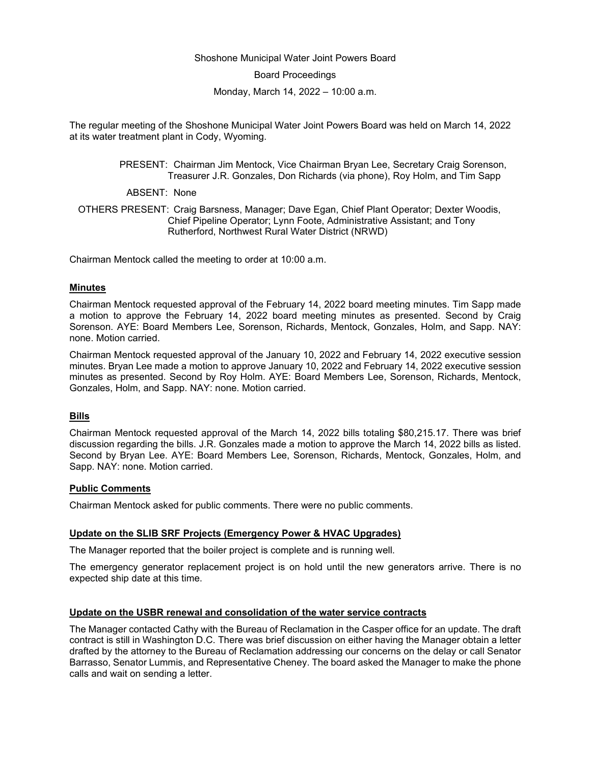### Shoshone Municipal Water Joint Powers Board

Board Proceedings

Monday, March 14, 2022 – 10:00 a.m.

The regular meeting of the Shoshone Municipal Water Joint Powers Board was held on March 14, 2022 at its water treatment plant in Cody, Wyoming.

> PRESENT: Chairman Jim Mentock, Vice Chairman Bryan Lee, Secretary Craig Sorenson, Treasurer J.R. Gonzales, Don Richards (via phone), Roy Holm, and Tim Sapp

ABSENT: None

OTHERS PRESENT: Craig Barsness, Manager; Dave Egan, Chief Plant Operator; Dexter Woodis, Chief Pipeline Operator; Lynn Foote, Administrative Assistant; and Tony Rutherford, Northwest Rural Water District (NRWD)

Chairman Mentock called the meeting to order at 10:00 a.m.

### **Minutes**

Chairman Mentock requested approval of the February 14, 2022 board meeting minutes. Tim Sapp made a motion to approve the February 14, 2022 board meeting minutes as presented. Second by Craig Sorenson. AYE: Board Members Lee, Sorenson, Richards, Mentock, Gonzales, Holm, and Sapp. NAY: none. Motion carried.

Chairman Mentock requested approval of the January 10, 2022 and February 14, 2022 executive session minutes. Bryan Lee made a motion to approve January 10, 2022 and February 14, 2022 executive session minutes as presented. Second by Roy Holm. AYE: Board Members Lee, Sorenson, Richards, Mentock, Gonzales, Holm, and Sapp. NAY: none. Motion carried.

# **Bills**

Chairman Mentock requested approval of the March 14, 2022 bills totaling \$80,215.17. There was brief discussion regarding the bills. J.R. Gonzales made a motion to approve the March 14, 2022 bills as listed. Second by Bryan Lee. AYE: Board Members Lee, Sorenson, Richards, Mentock, Gonzales, Holm, and Sapp. NAY: none. Motion carried.

# **Public Comments**

Chairman Mentock asked for public comments. There were no public comments.

# **Update on the SLIB SRF Projects (Emergency Power & HVAC Upgrades)**

The Manager reported that the boiler project is complete and is running well.

The emergency generator replacement project is on hold until the new generators arrive. There is no expected ship date at this time.

#### **Update on the USBR renewal and consolidation of the water service contracts**

The Manager contacted Cathy with the Bureau of Reclamation in the Casper office for an update. The draft contract is still in Washington D.C. There was brief discussion on either having the Manager obtain a letter drafted by the attorney to the Bureau of Reclamation addressing our concerns on the delay or call Senator Barrasso, Senator Lummis, and Representative Cheney. The board asked the Manager to make the phone calls and wait on sending a letter.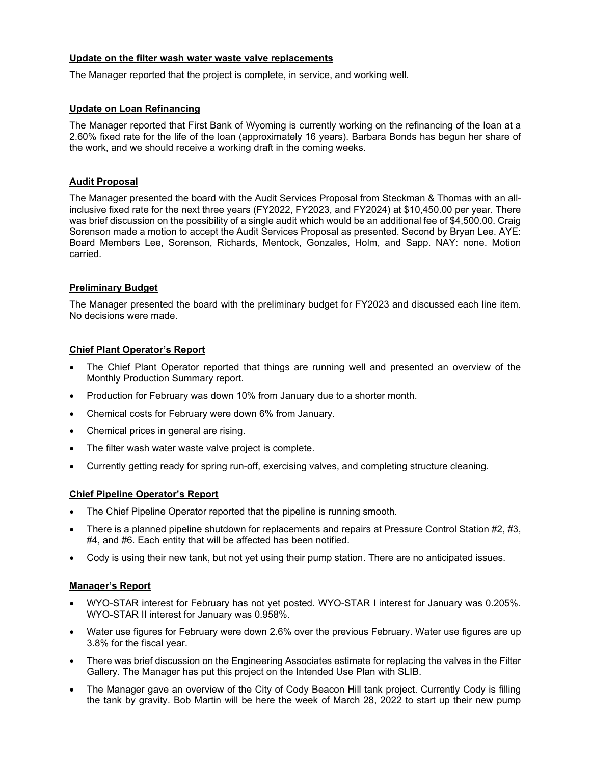# **Update on the filter wash water waste valve replacements**

The Manager reported that the project is complete, in service, and working well.

# **Update on Loan Refinancing**

The Manager reported that First Bank of Wyoming is currently working on the refinancing of the loan at a 2.60% fixed rate for the life of the loan (approximately 16 years). Barbara Bonds has begun her share of the work, and we should receive a working draft in the coming weeks.

# **Audit Proposal**

The Manager presented the board with the Audit Services Proposal from Steckman & Thomas with an allinclusive fixed rate for the next three years (FY2022, FY2023, and FY2024) at \$10,450.00 per year. There was brief discussion on the possibility of a single audit which would be an additional fee of \$4,500.00. Craig Sorenson made a motion to accept the Audit Services Proposal as presented. Second by Bryan Lee. AYE: Board Members Lee, Sorenson, Richards, Mentock, Gonzales, Holm, and Sapp. NAY: none. Motion carried.

# **Preliminary Budget**

The Manager presented the board with the preliminary budget for FY2023 and discussed each line item. No decisions were made.

# **Chief Plant Operator's Report**

- The Chief Plant Operator reported that things are running well and presented an overview of the Monthly Production Summary report.
- Production for February was down 10% from January due to a shorter month.
- Chemical costs for February were down 6% from January.
- Chemical prices in general are rising.
- The filter wash water waste valve project is complete.
- Currently getting ready for spring run-off, exercising valves, and completing structure cleaning.

# **Chief Pipeline Operator's Report**

- The Chief Pipeline Operator reported that the pipeline is running smooth.
- There is a planned pipeline shutdown for replacements and repairs at Pressure Control Station #2, #3, #4, and #6. Each entity that will be affected has been notified.
- Cody is using their new tank, but not yet using their pump station. There are no anticipated issues.

# **Manager's Report**

- WYO-STAR interest for February has not yet posted. WYO-STAR I interest for January was 0.205%. WYO-STAR II interest for January was 0.958%.
- Water use figures for February were down 2.6% over the previous February. Water use figures are up 3.8% for the fiscal year.
- There was brief discussion on the Engineering Associates estimate for replacing the valves in the Filter Gallery. The Manager has put this project on the Intended Use Plan with SLIB.
- The Manager gave an overview of the City of Cody Beacon Hill tank project. Currently Cody is filling the tank by gravity. Bob Martin will be here the week of March 28, 2022 to start up their new pump